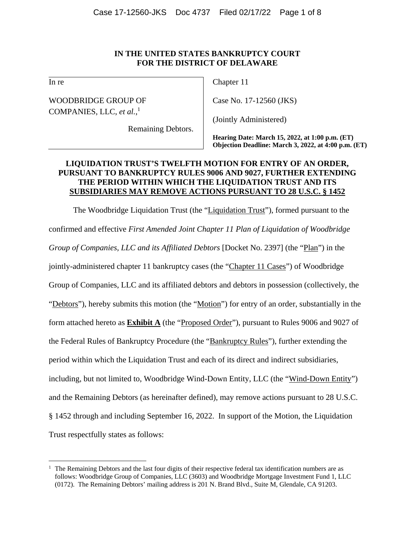# **IN THE UNITED STATES BANKRUPTCY COURT FOR THE DISTRICT OF DELAWARE**

In re

 $\overline{a}$ 

WOODBRIDGE GROUP OF COMPANIES, LLC, *et al.*, 1

Remaining Debtors.

Chapter 11

Case No. 17-12560 (JKS)

(Jointly Administered)

**Hearing Date: March 15, 2022, at 1:00 p.m. (ET) Objection Deadline: March 3, 2022, at 4:00 p.m. (ET)** 

# **LIQUIDATION TRUST'S TWELFTH MOTION FOR ENTRY OF AN ORDER, PURSUANT TO BANKRUPTCY RULES 9006 AND 9027, FURTHER EXTENDING THE PERIOD WITHIN WHICH THE LIQUIDATION TRUST AND ITS SUBSIDIARIES MAY REMOVE ACTIONS PURSUANT TO 28 U.S.C. § 1452**

The Woodbridge Liquidation Trust (the "Liquidation Trust"), formed pursuant to the confirmed and effective *First Amended Joint Chapter 11 Plan of Liquidation of Woodbridge Group of Companies, LLC and its Affiliated Debtors* [Docket No. 2397] (the "Plan") in the jointly-administered chapter 11 bankruptcy cases (the "Chapter 11 Cases") of Woodbridge Group of Companies, LLC and its affiliated debtors and debtors in possession (collectively, the "Debtors"), hereby submits this motion (the "Motion") for entry of an order, substantially in the form attached hereto as **Exhibit A** (the "Proposed Order"), pursuant to Rules 9006 and 9027 of the Federal Rules of Bankruptcy Procedure (the "Bankruptcy Rules"), further extending the period within which the Liquidation Trust and each of its direct and indirect subsidiaries, including, but not limited to, Woodbridge Wind-Down Entity, LLC (the "Wind-Down Entity") and the Remaining Debtors (as hereinafter defined), may remove actions pursuant to 28 U.S.C. § 1452 through and including September 16, 2022. In support of the Motion, the Liquidation Trust respectfully states as follows:

<sup>&</sup>lt;sup>1</sup> The Remaining Debtors and the last four digits of their respective federal tax identification numbers are as follows: Woodbridge Group of Companies, LLC (3603) and Woodbridge Mortgage Investment Fund 1, LLC (0172). The Remaining Debtors' mailing address is 201 N. Brand Blvd., Suite M, Glendale, CA 91203.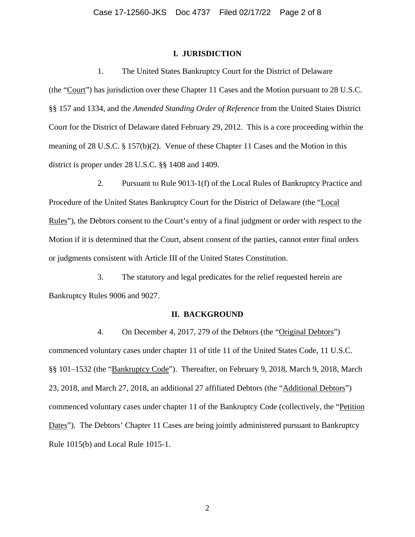## **I. JURISDICTION**

1. The United States Bankruptcy Court for the District of Delaware

(the "Court") has jurisdiction over these Chapter 11 Cases and the Motion pursuant to 28 U.S.C. §§ 157 and 1334, and the *Amended Standing Order of Reference* from the United States District Court for the District of Delaware dated February 29, 2012. This is a core proceeding within the meaning of 28 U.S.C. § 157(b)(2). Venue of these Chapter 11 Cases and the Motion in this district is proper under 28 U.S.C. §§ 1408 and 1409.

2. Pursuant to Rule 9013-1(f) of the Local Rules of Bankruptcy Practice and Procedure of the United States Bankruptcy Court for the District of Delaware (the "Local Rules"), the Debtors consent to the Court's entry of a final judgment or order with respect to the Motion if it is determined that the Court, absent consent of the parties, cannot enter final orders or judgments consistent with Article III of the United States Constitution.

3. The statutory and legal predicates for the relief requested herein are Bankruptcy Rules 9006 and 9027.

# **II. BACKGROUND**

4. On December 4, 2017, 279 of the Debtors (the "Original Debtors") commenced voluntary cases under chapter 11 of title 11 of the United States Code, 11 U.S.C. §§ 101–1532 (the "Bankruptcy Code"). Thereafter, on February 9, 2018, March 9, 2018, March 23, 2018, and March 27, 2018, an additional 27 affiliated Debtors (the "Additional Debtors") commenced voluntary cases under chapter 11 of the Bankruptcy Code (collectively, the "Petition Dates"). The Debtors' Chapter 11 Cases are being jointly administered pursuant to Bankruptcy Rule 1015(b) and Local Rule 1015-1.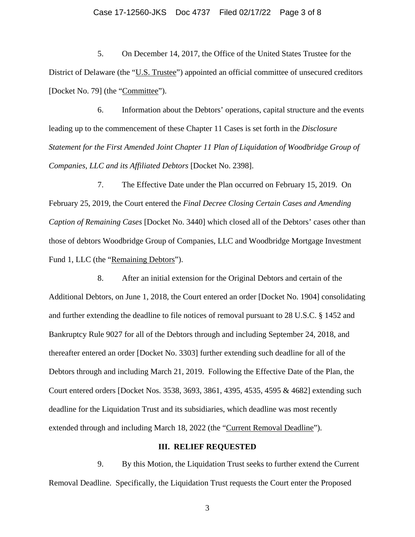#### Case 17-12560-JKS Doc 4737 Filed 02/17/22 Page 3 of 8

5. On December 14, 2017, the Office of the United States Trustee for the District of Delaware (the "U.S. Trustee") appointed an official committee of unsecured creditors [Docket No. 79] (the "Committee").

6. Information about the Debtors' operations, capital structure and the events leading up to the commencement of these Chapter 11 Cases is set forth in the *Disclosure Statement for the First Amended Joint Chapter 11 Plan of Liquidation of Woodbridge Group of Companies, LLC and its Affiliated Debtors* [Docket No. 2398].

7. The Effective Date under the Plan occurred on February 15, 2019. On February 25, 2019, the Court entered the *Final Decree Closing Certain Cases and Amending Caption of Remaining Cases* [Docket No. 3440] which closed all of the Debtors' cases other than those of debtors Woodbridge Group of Companies, LLC and Woodbridge Mortgage Investment Fund 1, LLC (the "Remaining Debtors").

8. After an initial extension for the Original Debtors and certain of the Additional Debtors, on June 1, 2018, the Court entered an order [Docket No. 1904] consolidating and further extending the deadline to file notices of removal pursuant to 28 U.S.C. § 1452 and Bankruptcy Rule 9027 for all of the Debtors through and including September 24, 2018, and thereafter entered an order [Docket No. 3303] further extending such deadline for all of the Debtors through and including March 21, 2019. Following the Effective Date of the Plan, the Court entered orders [Docket Nos. 3538, 3693, 3861, 4395, 4535, 4595 & 4682] extending such deadline for the Liquidation Trust and its subsidiaries, which deadline was most recently extended through and including March 18, 2022 (the "Current Removal Deadline").

#### **III. RELIEF REQUESTED**

9. By this Motion, the Liquidation Trust seeks to further extend the Current Removal Deadline. Specifically, the Liquidation Trust requests the Court enter the Proposed

3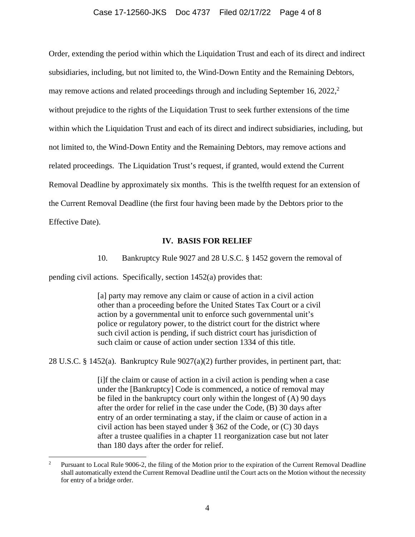#### Case 17-12560-JKS Doc 4737 Filed 02/17/22 Page 4 of 8

Order, extending the period within which the Liquidation Trust and each of its direct and indirect subsidiaries, including, but not limited to, the Wind-Down Entity and the Remaining Debtors, may remove actions and related proceedings through and including September 16, 2022,<sup>2</sup> without prejudice to the rights of the Liquidation Trust to seek further extensions of the time within which the Liquidation Trust and each of its direct and indirect subsidiaries, including, but not limited to, the Wind-Down Entity and the Remaining Debtors, may remove actions and related proceedings. The Liquidation Trust's request, if granted, would extend the Current Removal Deadline by approximately six months. This is the twelfth request for an extension of the Current Removal Deadline (the first four having been made by the Debtors prior to the Effective Date).

#### **IV. BASIS FOR RELIEF**

10. Bankruptcy Rule 9027 and 28 U.S.C. § 1452 govern the removal of

pending civil actions. Specifically, section 1452(a) provides that:

1

[a] party may remove any claim or cause of action in a civil action other than a proceeding before the United States Tax Court or a civil action by a governmental unit to enforce such governmental unit's police or regulatory power, to the district court for the district where such civil action is pending, if such district court has jurisdiction of such claim or cause of action under section 1334 of this title.

28 U.S.C. § 1452(a). Bankruptcy Rule 9027(a)(2) further provides, in pertinent part, that:

[i]f the claim or cause of action in a civil action is pending when a case under the [Bankruptcy] Code is commenced, a notice of removal may be filed in the bankruptcy court only within the longest of (A) 90 days after the order for relief in the case under the Code, (B) 30 days after entry of an order terminating a stay, if the claim or cause of action in a civil action has been stayed under § 362 of the Code, or (C) 30 days after a trustee qualifies in a chapter 11 reorganization case but not later than 180 days after the order for relief.

<sup>2</sup> Pursuant to Local Rule 9006-2, the filing of the Motion prior to the expiration of the Current Removal Deadline shall automatically extend the Current Removal Deadline until the Court acts on the Motion without the necessity for entry of a bridge order.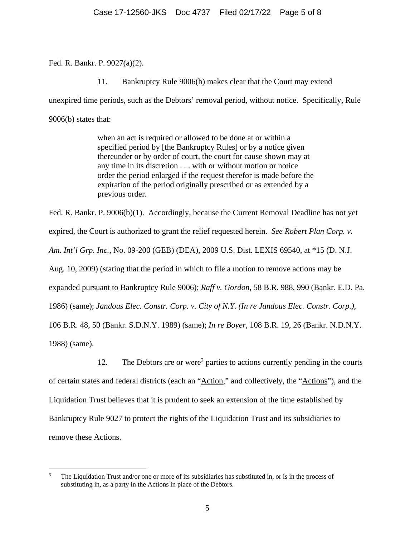Fed. R. Bankr. P. 9027(a)(2).

11. Bankruptcy Rule 9006(b) makes clear that the Court may extend

unexpired time periods, such as the Debtors' removal period, without notice. Specifically, Rule

9006(b) states that:

 $\overline{a}$ 

when an act is required or allowed to be done at or within a specified period by [the Bankruptcy Rules] or by a notice given thereunder or by order of court, the court for cause shown may at any time in its discretion . . . with or without motion or notice order the period enlarged if the request therefor is made before the expiration of the period originally prescribed or as extended by a previous order.

Fed. R. Bankr. P. 9006(b)(1). Accordingly, because the Current Removal Deadline has not yet expired, the Court is authorized to grant the relief requested herein. *See Robert Plan Corp. v. Am. Int'l Grp. Inc.*, No. 09-200 (GEB) (DEA), 2009 U.S. Dist. LEXIS 69540, at \*15 (D. N.J. Aug. 10, 2009) (stating that the period in which to file a motion to remove actions may be expanded pursuant to Bankruptcy Rule 9006); *Raff v. Gordon*, 58 B.R. 988, 990 (Bankr. E.D. Pa. 1986) (same); *Jandous Elec. Constr. Corp. v. City of N.Y. (In re Jandous Elec. Constr. Corp.)*, 106 B.R. 48, 50 (Bankr. S.D.N.Y. 1989) (same); *In re Boyer*, 108 B.R. 19, 26 (Bankr. N.D.N.Y. 1988) (same).

12. The Debtors are or were<sup>3</sup> parties to actions currently pending in the courts of certain states and federal districts (each an "Action," and collectively, the "Actions"), and the Liquidation Trust believes that it is prudent to seek an extension of the time established by Bankruptcy Rule 9027 to protect the rights of the Liquidation Trust and its subsidiaries to remove these Actions.

<sup>3</sup> The Liquidation Trust and/or one or more of its subsidiaries has substituted in, or is in the process of substituting in, as a party in the Actions in place of the Debtors.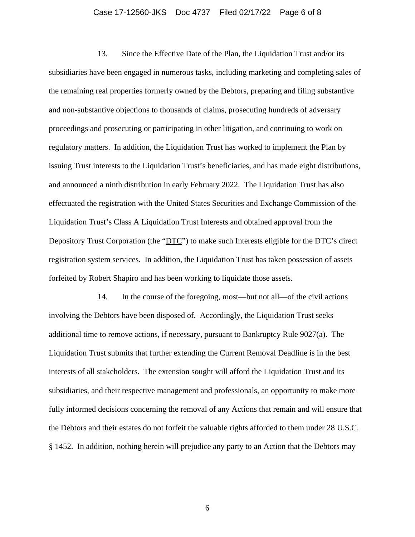#### Case 17-12560-JKS Doc 4737 Filed 02/17/22 Page 6 of 8

13. Since the Effective Date of the Plan, the Liquidation Trust and/or its subsidiaries have been engaged in numerous tasks, including marketing and completing sales of the remaining real properties formerly owned by the Debtors, preparing and filing substantive and non-substantive objections to thousands of claims, prosecuting hundreds of adversary proceedings and prosecuting or participating in other litigation, and continuing to work on regulatory matters. In addition, the Liquidation Trust has worked to implement the Plan by issuing Trust interests to the Liquidation Trust's beneficiaries, and has made eight distributions, and announced a ninth distribution in early February 2022. The Liquidation Trust has also effectuated the registration with the United States Securities and Exchange Commission of the Liquidation Trust's Class A Liquidation Trust Interests and obtained approval from the Depository Trust Corporation (the "DTC") to make such Interests eligible for the DTC's direct registration system services. In addition, the Liquidation Trust has taken possession of assets forfeited by Robert Shapiro and has been working to liquidate those assets.

14. In the course of the foregoing, most—but not all—of the civil actions involving the Debtors have been disposed of. Accordingly, the Liquidation Trust seeks additional time to remove actions, if necessary, pursuant to Bankruptcy Rule 9027(a). The Liquidation Trust submits that further extending the Current Removal Deadline is in the best interests of all stakeholders. The extension sought will afford the Liquidation Trust and its subsidiaries, and their respective management and professionals, an opportunity to make more fully informed decisions concerning the removal of any Actions that remain and will ensure that the Debtors and their estates do not forfeit the valuable rights afforded to them under 28 U.S.C. § 1452. In addition, nothing herein will prejudice any party to an Action that the Debtors may

6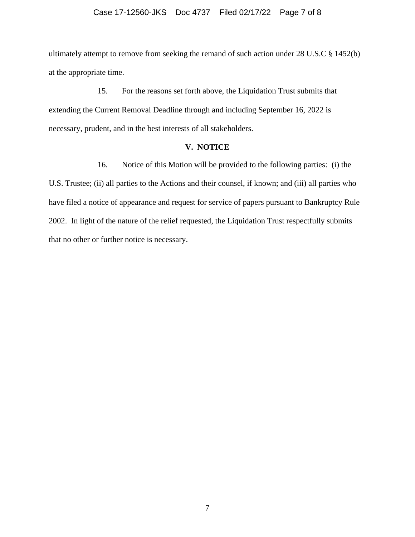# Case 17-12560-JKS Doc 4737 Filed 02/17/22 Page 7 of 8

ultimately attempt to remove from seeking the remand of such action under 28 U.S.C § 1452(b) at the appropriate time.

15. For the reasons set forth above, the Liquidation Trust submits that extending the Current Removal Deadline through and including September 16, 2022 is necessary, prudent, and in the best interests of all stakeholders.

#### **V. NOTICE**

16. Notice of this Motion will be provided to the following parties: (i) the U.S. Trustee; (ii) all parties to the Actions and their counsel, if known; and (iii) all parties who have filed a notice of appearance and request for service of papers pursuant to Bankruptcy Rule 2002. In light of the nature of the relief requested, the Liquidation Trust respectfully submits that no other or further notice is necessary.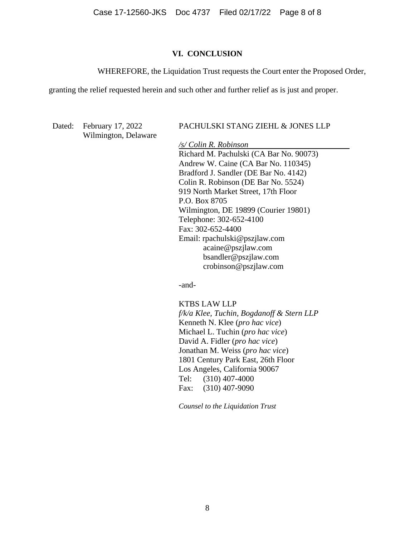Case 17-12560-JKS Doc 4737 Filed 02/17/22 Page 8 of 8

#### **VI. CONCLUSION**

WHEREFORE, the Liquidation Trust requests the Court enter the Proposed Order,

granting the relief requested herein and such other and further relief as is just and proper.

Wilmington, Delaware

Dated: February 17, 2022 PACHULSKI STANG ZIEHL & JONES LLP

*/s/ Colin R. Robinson*  Richard M. Pachulski (CA Bar No. 90073) Andrew W. Caine (CA Bar No. 110345) Bradford J. Sandler (DE Bar No. 4142) Colin R. Robinson (DE Bar No. 5524) 919 North Market Street, 17th Floor P.O. Box 8705 Wilmington, DE 19899 (Courier 19801) Telephone: 302-652-4100 Fax: 302-652-4400 Email: rpachulski@pszjlaw.com acaine@pszjlaw.com bsandler@pszjlaw.com crobinson@pszjlaw.com

-and-

KTBS LAW LLP

*f/k/a Klee, Tuchin, Bogdanoff & Stern LLP*  Kenneth N. Klee (*pro hac vice*) Michael L. Tuchin (*pro hac vice*) David A. Fidler (*pro hac vice*) Jonathan M. Weiss (*pro hac vice*) 1801 Century Park East, 26th Floor Los Angeles, California 90067 Tel: (310) 407-4000 Fax: (310) 407-9090

*Counsel to the Liquidation Trust*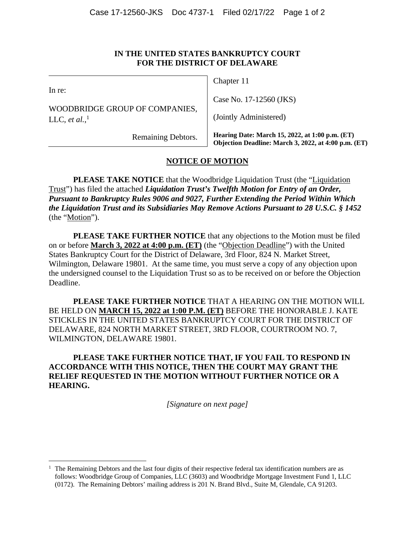# **IN THE UNITED STATES BANKRUPTCY COURT FOR THE DISTRICT OF DELAWARE**

| Remaining Debtors.                                  | Hearing Date: March 15, 2022, at 1:00 p.m. (ET)<br>Objection Deadline: March 3, 2022, at 4:00 p.m. (ET) |
|-----------------------------------------------------|---------------------------------------------------------------------------------------------------------|
| WOODBRIDGE GROUP OF COMPANIES,<br>LLC, et al., $^1$ | (Jointly Administered)                                                                                  |
| In re:                                              | Case No. 17-12560 (JKS)                                                                                 |
|                                                     | Chapter 11                                                                                              |

# **NOTICE OF MOTION**

**PLEASE TAKE NOTICE** that the Woodbridge Liquidation Trust (the "Liquidation Trust") has filed the attached *Liquidation Trust's Twelfth Motion for Entry of an Order, Pursuant to Bankruptcy Rules 9006 and 9027, Further Extending the Period Within Which the Liquidation Trust and its Subsidiaries May Remove Actions Pursuant to 28 U.S.C. § 1452* (the "Motion").

**PLEASE TAKE FURTHER NOTICE** that any objections to the Motion must be filed on or before **March 3, 2022 at 4:00 p.m. (ET)** (the "Objection Deadline") with the United States Bankruptcy Court for the District of Delaware, 3rd Floor, 824 N. Market Street, Wilmington, Delaware 19801. At the same time, you must serve a copy of any objection upon the undersigned counsel to the Liquidation Trust so as to be received on or before the Objection Deadline.

**PLEASE TAKE FURTHER NOTICE** THAT A HEARING ON THE MOTION WILL BE HELD ON **MARCH 15, 2022 at 1:00 P.M. (ET)** BEFORE THE HONORABLE J. KATE STICKLES IN THE UNITED STATES BANKRUPTCY COURT FOR THE DISTRICT OF DELAWARE, 824 NORTH MARKET STREET, 3RD FLOOR, COURTROOM NO. 7, WILMINGTON, DELAWARE 19801.

**PLEASE TAKE FURTHER NOTICE THAT, IF YOU FAIL TO RESPOND IN ACCORDANCE WITH THIS NOTICE, THEN THE COURT MAY GRANT THE RELIEF REQUESTED IN THE MOTION WITHOUT FURTHER NOTICE OR A HEARING.** 

*[Signature on next page]* 

 $\overline{a}$ 

<sup>&</sup>lt;sup>1</sup> The Remaining Debtors and the last four digits of their respective federal tax identification numbers are as follows: Woodbridge Group of Companies, LLC (3603) and Woodbridge Mortgage Investment Fund 1, LLC (0172). The Remaining Debtors' mailing address is 201 N. Brand Blvd., Suite M, Glendale, CA 91203.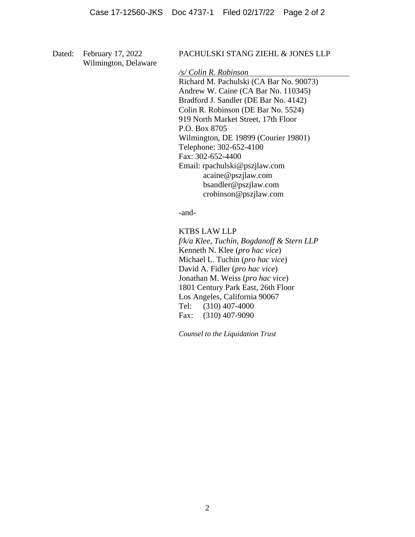Wilmington, Delaware

## Dated: February 17, 2022 PACHULSKI STANG ZIEHL & JONES LLP

*/s/ Colin R. Robinson* 

 Richard M. Pachulski (CA Bar No. 90073) Andrew W. Caine (CA Bar No. 110345) Bradford J. Sandler (DE Bar No. 4142) Colin R. Robinson (DE Bar No. 5524) 919 North Market Street, 17th Floor P.O. Box 8705 Wilmington, DE 19899 (Courier 19801) Telephone: 302-652-4100 Fax: 302-652-4400 Email: rpachulski@pszjlaw.com acaine@pszjlaw.com bsandler@pszjlaw.com crobinson@pszjlaw.com

-and-

KTBS LAW LLP

*f/k/a Klee, Tuchin, Bogdanoff & Stern LLP* Kenneth N. Klee (*pro hac vice*) Michael L. Tuchin (*pro hac vice*) David A. Fidler (*pro hac vice*) Jonathan M. Weiss (*pro hac vice*) 1801 Century Park East, 26th Floor Los Angeles, California 90067 Tel: (310) 407-4000 Fax: (310) 407-9090

*Counsel to the Liquidation Trust*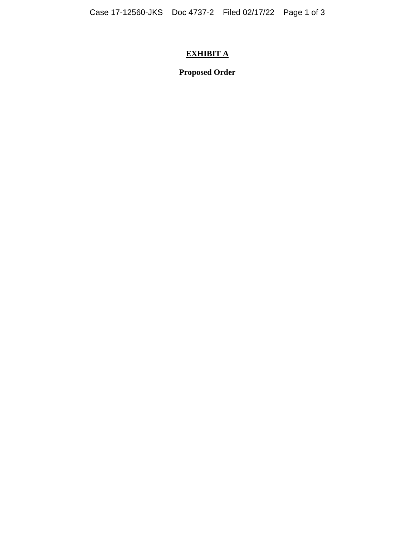# **EXHIBIT A**

**Proposed Order**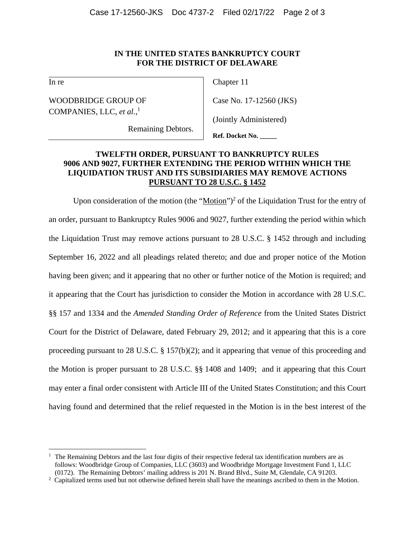## **IN THE UNITED STATES BANKRUPTCY COURT FOR THE DISTRICT OF DELAWARE**

In re

 $\overline{a}$ 

WOODBRIDGE GROUP OF COMPANIES, LLC, *et al.*, 1

Chapter 11

Case No. 17-12560 (JKS)

(Jointly Administered)

Remaining Debtors.

**Ref. Docket No. \_\_\_\_\_**

# **TWELFTH ORDER, PURSUANT TO BANKRUPTCY RULES 9006 AND 9027, FURTHER EXTENDING THE PERIOD WITHIN WHICH THE LIQUIDATION TRUST AND ITS SUBSIDIARIES MAY REMOVE ACTIONS PURSUANT TO 28 U.S.C. § 1452**

Upon consideration of the motion (the " $Motion$ ")<sup>2</sup> of the Liquidation Trust for the entry of</u> an order, pursuant to Bankruptcy Rules 9006 and 9027, further extending the period within which the Liquidation Trust may remove actions pursuant to 28 U.S.C. § 1452 through and including September 16, 2022 and all pleadings related thereto; and due and proper notice of the Motion having been given; and it appearing that no other or further notice of the Motion is required; and it appearing that the Court has jurisdiction to consider the Motion in accordance with 28 U.S.C. §§ 157 and 1334 and the *Amended Standing Order of Reference* from the United States District Court for the District of Delaware, dated February 29, 2012; and it appearing that this is a core proceeding pursuant to 28 U.S.C. § 157(b)(2); and it appearing that venue of this proceeding and the Motion is proper pursuant to 28 U.S.C. §§ 1408 and 1409; and it appearing that this Court may enter a final order consistent with Article III of the United States Constitution; and this Court having found and determined that the relief requested in the Motion is in the best interest of the

<sup>1</sup> The Remaining Debtors and the last four digits of their respective federal tax identification numbers are as follows: Woodbridge Group of Companies, LLC (3603) and Woodbridge Mortgage Investment Fund 1, LLC (0172). The Remaining Debtors' mailing address is 201 N. Brand Blvd., Suite M, Glendale, CA 91203. 2

<sup>&</sup>lt;sup>2</sup> Capitalized terms used but not otherwise defined herein shall have the meanings ascribed to them in the Motion.